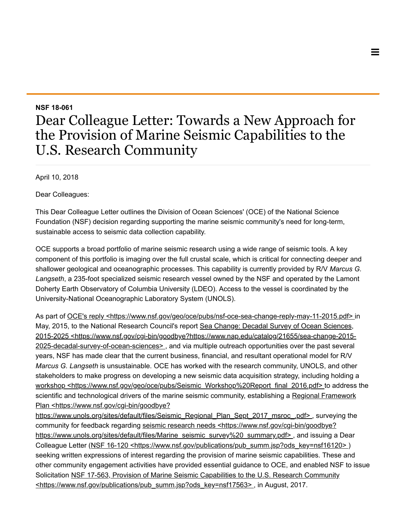## NSF 18-061

## Dear Colleague Letter: Towards a New Approach for the Provision of Marine Seismic Capabilities to the U.S. Research Community

April 10, 2018

Dear Colleagues:

This Dear Colleague Letter outlines the Division of Ocean Sciences' (OCE) of the National Science Foundation (NSF) decision regarding supporting the marine seismic community's need for long-term, sustainable access to seismic data collection capability.

OCE supports a broad portfolio of marine seismic research using a wide range of seismic tools. A key component of this portfolio is imaging over the full crustal scale, which is critical for connecting deeper and shallower geological and oceanographic processes. This capability is currently provided by R/V Marcus G. Langseth, a 235-foot specialized seismic research vessel owned by the NSF and operated by the Lamont Doherty Earth Observatory of Columbia University (LDEO). Access to the vessel is coordinated by the University-National Oceanographic Laboratory System (UNOLS).

As part of [OCE's reply <https://www.nsf.gov/geo/oce/pubs/nsf-oce-sea-change-reply-may-11-2015.pdf>](https://www.nsf.gov/geo/oce/pubs/nsf-oce-sea-change-reply-may-11-2015.pdf) in May, 2015, to the National Research Council's report Sea Change: Decadal Survey of Ocean Sciences, [2015-2025 <https://www.nsf.gov/cgi-bin/goodbye?https://www.nap.edu/catalog/21655/sea-change-2015-](https://www.nsf.gov/cgi-bin/goodbye?https://www.nap.edu/catalog/21655/sea-change-2015-2025-decadal-survey-of-ocean-sciences) 2025-decadal-survey-of-ocean-sciences>, and via multiple outreach opportunities over the past several years, NSF has made clear that the current business, financial, and resultant operational model for R/V Marcus G. Langseth is unsustainable. OCE has worked with the research community, UNOLS, and other stakeholders to make progress on developing a new seismic data acquisition strategy, including holding a [workshop <https://www.nsf.gov/geo/oce/pubs/Seismic\\_Workshop%20Report\\_final\\_2016.pdf> t](https://www.nsf.gov/geo/oce/pubs/Seismic_Workshop%20Report_final_2016.pdf)o address the scientific and technological drivers of the marine seismic community, establishing a Regional Framework Plan <https://www.nsf.gov/cgi-bin/goodbye?

https://www.unols.org/sites/default/files/Seismic\_Regional\_Plan\_Sept\_2017\_msroc\_.pdf>, surveying the community for feedback regarding seismic research needs <https://www.nsf.gov/cgi-bin/goodbye? https://www.unols.org/sites/default/files/Marine\_seismic\_survey%20\_summary.pdf>, and issuing a Dear Colleague Letter (NSF 16-120 <https://www.nsf.gov/publications/pub\_summ.jsp?ods\_key=nsf16120>) seeking written expressions of interest regarding the provision of marine seismic capabilities. These and other community engagement activities have provided essential guidance to OCE, and enabled NSF to issue [Solicitation NSF 17-563, Provision of Marine Seismic Capabilities to the U.S. Research Community](https://www.nsf.gov/publications/pub_summ.jsp?ods_key=nsf17563) <https://www.nsf.gov/publications/pub\_summ.jsp?ods\_key=nsf17563>, in August, 2017.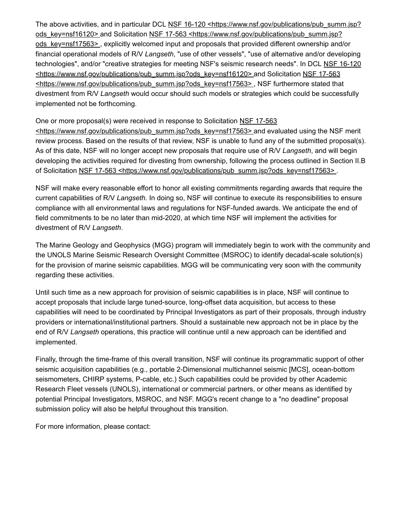[The above activities, and in particular DCL NSF 16-120 <https://www.nsf.gov/publications/pub\\_summ.jsp?](https://www.nsf.gov/publications/pub_summ.jsp?ods_key=nsf16120) [ods\\_key=nsf16120> and Solicitation NSF 17-563 <https://www.nsf.gov/publications/pub\\_summ.jsp?](https://www.nsf.gov/publications/pub_summ.jsp?ods_key=nsf17563) ods key=nsf17563>, explicitly welcomed input and proposals that provided different ownership and/or financial operational models of R/V Langseth, "use of other vessels", "use of alternative and/or developing [technologies", and/or "creative strategies for meeting NSF's seismic research needs". In DCL NSF 16-120](https://www.nsf.gov/publications/pub_summ.jsp?ods_key=nsf16120) [<https://www.nsf.gov/publications/pub\\_summ.jsp?ods\\_key=nsf16120> and Solicitation NSF 17-563](https://www.nsf.gov/publications/pub_summ.jsp?ods_key=nsf17563) <https://www.nsf.gov/publications/pub\_summ.jsp?ods\_key=nsf17563>, NSF furthermore stated that divestment from R/V Langseth would occur should such models or strategies which could be successfully implemented not be forthcoming.

## One or more proposal(s) were received in response to Solicitation NSF 17-563

[<https://www.nsf.gov/publications/pub\\_summ.jsp?ods\\_key=nsf17563> and eva](https://www.nsf.gov/publications/pub_summ.jsp?ods_key=nsf17563)luated using the NSF merit review process. Based on the results of that review, NSF is unable to fund any of the submitted proposal(s). As of this date, NSF will no longer accept new proposals that require use of R/V Langseth, and will begin developing the activities required for divesting from ownership, following the process outlined in Section II.B of Solicitation NSF 17-563 <https://www.nsf.gov/publications/pub\_summ.jsp?ods\_key=nsf17563>.

NSF will make every reasonable effort to honor all existing commitments regarding awards that require the current capabilities of R/V Langseth. In doing so, NSF will continue to execute its responsibilities to ensure compliance with all environmental laws and regulations for NSF-funded awards. We anticipate the end of field commitments to be no later than mid-2020, at which time NSF will implement the activities for divestment of R/V Langseth.

The Marine Geology and Geophysics (MGG) program will immediately begin to work with the community and the UNOLS Marine Seismic Research Oversight Committee (MSROC) to identify decadal-scale solution(s) for the provision of marine seismic capabilities. MGG will be communicating very soon with the community regarding these activities.

Until such time as a new approach for provision of seismic capabilities is in place, NSF will continue to accept proposals that include large tuned-source, long-offset data acquisition, but access to these capabilities will need to be coordinated by Principal Investigators as part of their proposals, through industry providers or international/institutional partners. Should a sustainable new approach not be in place by the end of R/V Langseth operations, this practice will continue until a new approach can be identified and implemented.

Finally, through the time-frame of this overall transition, NSF will continue its programmatic support of other seismic acquisition capabilities (e.g., portable 2-Dimensional multichannel seismic [MCS], ocean-bottom seismometers, CHIRP systems, P-cable, etc.) Such capabilities could be provided by other Academic Research Fleet vessels (UNOLS), international or commercial partners, or other means as identified by potential Principal Investigators, MSROC, and NSF. MGG's recent change to a "no deadline" proposal submission policy will also be helpful throughout this transition.

For more information, please contact: